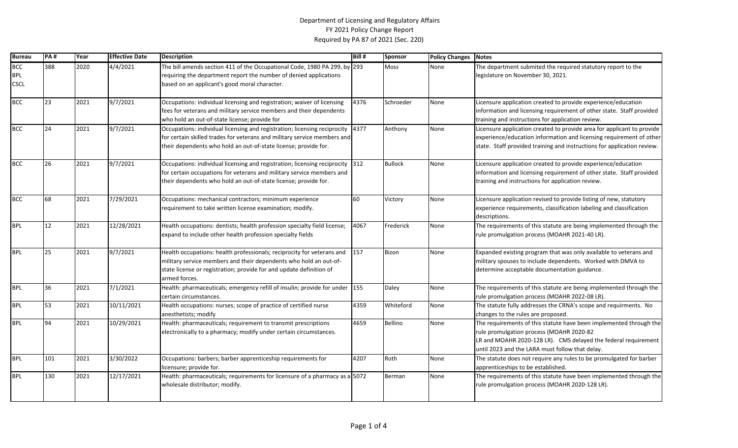## Department of Licensing and Regulatory Affairs FY 2021 Policy Change Report Required by PA 87 of 2021 (Sec. 220)

| <b>Bureau</b>                           | <b>PA#</b> | Year | <b>Effective Date</b> | <b>Description</b>                                                                                                                                                                                                                  | Bill# | <b>Sponsor</b> | <b>Policy Changes</b> | <b>Notes</b>                                                                                                                                                                                                                        |
|-----------------------------------------|------------|------|-----------------------|-------------------------------------------------------------------------------------------------------------------------------------------------------------------------------------------------------------------------------------|-------|----------------|-----------------------|-------------------------------------------------------------------------------------------------------------------------------------------------------------------------------------------------------------------------------------|
| <b>BCC</b><br><b>BPL</b><br><b>CSCL</b> | 388        | 2020 | 4/4/2021              | The bill amends section 411 of the Occupational Code, 1980 PA 299, by 293<br>requiring the department report the number of denied applications<br>based on an applicant's good moral character.                                     |       | <b>Moss</b>    | None                  | The department submited the required statutory report to the<br>legislature on November 30, 2021.                                                                                                                                   |
| <b>BCC</b>                              | 23         | 2021 | 9/7/2021              | Occupations: individual licensing and registration; waiver of licensing<br>fees for veterans and military service members and their dependents<br>who hold an out-of-state license; provide for                                     | 4376  | Schroeder      | None                  | Licensure application created to provide experience/education<br>information and licensing requirement of other state. Staff provided<br>training and instructions for application review.                                          |
| <b>BCC</b>                              | 24         | 2021 | 9/7/2021              | Occupations: individual licensing and registration; licensing reciprocity<br>for certain skilled trades for veterans and military service members and<br>their dependents who hold an out-of-state license; provide for.            | 4377  | Anthony        | None                  | Licensure application created to provide area for applicant to provide<br>experience/education information and licensing requirement of other<br>state. Staff provided training and instructions for application review.            |
| <b>BCC</b>                              | 26         | 2021 | 9/7/2021              | Occupations: individual licensing and registration; licensing reciprocity<br>for certain occupations for veterans and military service members and<br>their dependents who hold an out-of-state license; provide for.               | 312   | <b>Bullock</b> | None                  | Licensure application created to provide experience/education<br>information and licensing requirement of other state. Staff provided<br>training and instructions for application review.                                          |
| <b>BCC</b>                              | 68         | 2021 | 7/29/2021             | Occupations: mechanical contractors; minimum experience<br>requirement to take written license examination; modify.                                                                                                                 | 60    | Victory        | None                  | Licensure application revised to provide listing of new, statutory<br>experience requirements, classification labeling and classification<br>descriptions.                                                                          |
| <b>BPL</b>                              | 12         | 2021 | 12/28/2021            | Health occupations: dentists; health profession specialty field license;<br>expand to include other health profession specialty fields                                                                                              | 4067  | Frederick      | None                  | The requirements of this statute are being implemented through the<br>rule promulgation process (MOAHR 2021-40 LR).                                                                                                                 |
| <b>BPL</b>                              | 25         | 2021 | 9/7/2021              | Health occupations: health professionals; reciprocity for veterans and<br>military service members and their dependents who hold an out-of-<br>state license or registration; provide for and update definition of<br>armed forces. | 157   | <b>Bizon</b>   | None                  | Expanded existing program that was only available to veterans and<br>military spouses to include dependents. Worked with DMVA to<br>determine acceptable documentation guidance.                                                    |
| <b>BPL</b>                              | 36         | 2021 | 7/1/2021              | Health: pharmaceuticals; emergency refill of insulin; provide for under<br>certain circumstances.                                                                                                                                   | 155   | Daley          | None                  | The requirements of this statute are being implemented through the<br>rule promulgation process (MOAHR 2022-08 LR).                                                                                                                 |
| <b>BPL</b>                              | 53         | 2021 | 10/11/2021            | Health occupations: nurses; scope of practice of certified nurse<br>anesthetists; modify                                                                                                                                            | 4359  | Whiteford      | None                  | The statute fully addresses the CRNA's scope and requirments. No<br>changes to the rules are proposed.                                                                                                                              |
| <b>BPL</b>                              | 94         | 2021 | 10/29/2021            | Health: pharmaceuticals; requirement to transmit prescriptions<br>electronically to a pharmacy; modify under certain circumstances.                                                                                                 | 4659  | Bellino        | None                  | The requirements of this statute have been implemented through the<br>rule promulgation process (MOAHR 2020-82<br>LR and MOAHR 2020-128 LR). CMS delayed the federal requirement<br>until 2023 and the LARA must follow that delay. |
| <b>BPL</b>                              | 101        | 2021 | 3/30/2022             | Occupations: barbers; barber apprenticeship requirements for<br>licensure; provide for.                                                                                                                                             | 4207  | Roth           | None                  | The statute does not require any rules to be promulgated for barber<br>apprenticeships to be established.                                                                                                                           |
| <b>BPL</b>                              | 130        | 2021 | 12/17/2021            | Health: pharmaceuticals; requirements for licensure of a pharmacy as a 5072<br>wholesale distributor; modify.                                                                                                                       |       | Berman         | None                  | The requirements of this statute have been implemented through the<br>rule promulgation process (MOAHR 2020-128 LR).                                                                                                                |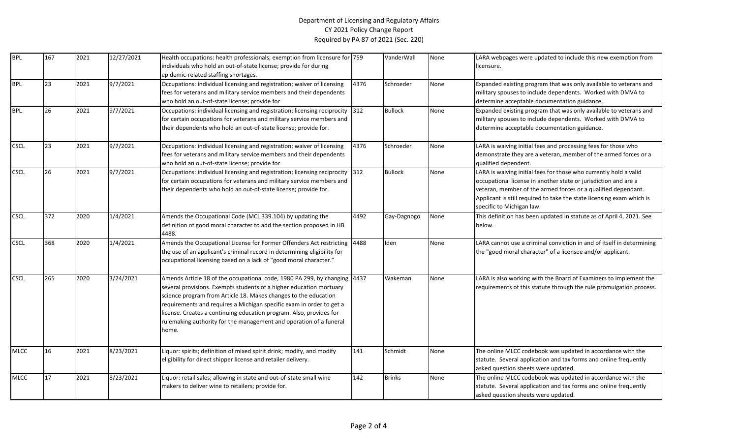## Department of Licensing and Regulatory Affairs CY 2021 Policy Change Report Required by PA 87 of 2021 (Sec. 220)

| <b>BPL</b>  | 167             | 2021 | 12/27/2021        | Health occupations: health professionals; exemption from licensure for 759                                                                                                                                                                                                                                                                                                                                                                        |      | VanderWall     | None | LARA webpages were updated to include this new exemption from                                                                                                                                                                                                                                               |
|-------------|-----------------|------|-------------------|---------------------------------------------------------------------------------------------------------------------------------------------------------------------------------------------------------------------------------------------------------------------------------------------------------------------------------------------------------------------------------------------------------------------------------------------------|------|----------------|------|-------------------------------------------------------------------------------------------------------------------------------------------------------------------------------------------------------------------------------------------------------------------------------------------------------------|
|             |                 |      |                   | individuals who hold an out-of-state license; provide for during                                                                                                                                                                                                                                                                                                                                                                                  |      |                |      | licensure.                                                                                                                                                                                                                                                                                                  |
|             |                 |      |                   | epidemic-related staffing shortages.                                                                                                                                                                                                                                                                                                                                                                                                              |      |                |      |                                                                                                                                                                                                                                                                                                             |
| <b>BPL</b>  | $\overline{23}$ | 2021 | 9/7/2021          | Occupations: individual licensing and registration; waiver of licensing<br>fees for veterans and military service members and their dependents<br>who hold an out-of-state license; provide for                                                                                                                                                                                                                                                   | 4376 | Schroeder      | None | Expanded existing program that was only available to veterans and<br>military spouses to include dependents. Worked with DMVA to<br>determine acceptable documentation guidance.                                                                                                                            |
| <b>BPL</b>  | 26              | 2021 | 9/7/2021          | Occupations: individual licensing and registration; licensing reciprocity 312<br>for certain occupations for veterans and military service members and<br>their dependents who hold an out-of-state license; provide for.                                                                                                                                                                                                                         |      | <b>Bullock</b> | None | Expanded existing program that was only available to veterans and<br>military spouses to include dependents. Worked with DMVA to<br>determine acceptable documentation guidance.                                                                                                                            |
| <b>CSCL</b> | 23              | 2021 | 9/7/2021          | Occupations: individual licensing and registration; waiver of licensing<br>fees for veterans and military service members and their dependents<br>who hold an out-of-state license; provide for                                                                                                                                                                                                                                                   | 4376 | Schroeder      | None | LARA is waiving initial fees and processing fees for those who<br>demonstrate they are a veteran, member of the armed forces or a<br>qualified dependent.                                                                                                                                                   |
| <b>CSCL</b> | 26              | 2021 | $\sqrt{9}/7/2021$ | Occupations: individual licensing and registration; licensing reciprocity 312<br>for certain occupations for veterans and military service members and<br>their dependents who hold an out-of-state license; provide for.                                                                                                                                                                                                                         |      | <b>Bullock</b> | None | LARA is waiving initial fees for those who currently hold a valid<br>occupational license in another state or jurisdiction and are a<br>veteran, member of the armed forces or a qualified dependant.<br>Applicant is still required to take the state licensing exam which is<br>specific to Michigan law. |
| <b>CSCL</b> | 372             | 2020 | 1/4/2021          | Amends the Occupational Code (MCL 339.104) by updating the<br>definition of good moral character to add the section proposed in HB<br>4488.                                                                                                                                                                                                                                                                                                       | 4492 | Gay-Dagnogo    | None | This definition has been updated in statute as of April 4, 2021. See<br>below.                                                                                                                                                                                                                              |
| <b>CSCL</b> | 368             | 2020 | 1/4/2021          | Amends the Occupational License for Former Offenders Act restricting<br>the use of an applicant's criminal record in determining eligibility for<br>occupational licensing based on a lack of "good moral character."                                                                                                                                                                                                                             | 4488 | Iden           | None | LARA cannot use a criminal conviction in and of itself in determining<br>the "good moral character" of a licensee and/or applicant.                                                                                                                                                                         |
| <b>CSCL</b> | 265             | 2020 | 3/24/2021         | Amends Article 18 of the occupational code, 1980 PA 299, by changing 4437<br>several provisions. Exempts students of a higher education mortuary<br>science program from Article 18. Makes changes to the education<br>requirements and requires a Michigan specific exam in order to get a<br>license. Creates a continuing education program. Also, provides for<br>rulemaking authority for the management and operation of a funeral<br>home. |      | Wakeman        | None | LARA is also working with the Board of Examiners to implement the<br>requirements of this statute through the rule promulgation process.                                                                                                                                                                    |
| <b>MLCC</b> | 16              | 2021 | 8/23/2021         | Liquor: spirits; definition of mixed spirit drink; modify, and modify<br>eligibility for direct shipper license and retailer delivery.                                                                                                                                                                                                                                                                                                            | 141  | Schmidt        | None | The online MLCC codebook was updated in accordance with the<br>statute. Several application and tax forms and online frequently<br>asked question sheets were updated.                                                                                                                                      |
| <b>MLCC</b> | 17              | 2021 | 8/23/2021         | Liquor: retail sales; allowing in state and out-of-state small wine<br>makers to deliver wine to retailers; provide for.                                                                                                                                                                                                                                                                                                                          | 142  | <b>Brinks</b>  | None | The online MLCC codebook was updated in accordance with the<br>statute. Several application and tax forms and online frequently<br>asked question sheets were updated.                                                                                                                                      |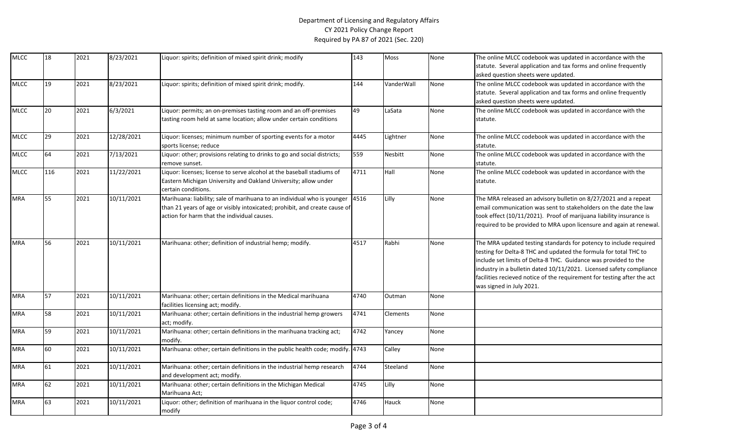## Department of Licensing and Regulatory Affairs CY 2021 Policy Change Report Required by PA 87 of 2021 (Sec. 220)

| <b>MLCC</b> | 18  | 2021 | 8/23/2021  | Liquor: spirits; definition of mixed spirit drink; modify                                                                                                                                            | 143  | Moss       | None | The online MLCC codebook was updated in accordance with the<br>statute. Several application and tax forms and online frequently<br>asked question sheets were updated.                                                                                                                                                                                                                 |
|-------------|-----|------|------------|------------------------------------------------------------------------------------------------------------------------------------------------------------------------------------------------------|------|------------|------|----------------------------------------------------------------------------------------------------------------------------------------------------------------------------------------------------------------------------------------------------------------------------------------------------------------------------------------------------------------------------------------|
| <b>MLCC</b> | 19  | 2021 | 8/23/2021  | Liquor: spirits; definition of mixed spirit drink; modify.                                                                                                                                           | 144  | VanderWall | None | The online MLCC codebook was updated in accordance with the<br>statute. Several application and tax forms and online frequently<br>asked question sheets were updated.                                                                                                                                                                                                                 |
| <b>MLCC</b> | 20  | 2021 | 6/3/2021   | Liquor: permits; an on-premises tasting room and an off-premises<br>asting room held at same location; allow under certain conditions                                                                | 49   | LaSata     | None | The online MLCC codebook was updated in accordance with the<br>statute.                                                                                                                                                                                                                                                                                                                |
| <b>MLCC</b> | 29  | 2021 | 12/28/2021 | Liquor: licenses; minimum number of sporting events for a motor<br>sports license; reduce                                                                                                            | 4445 | Lightner   | None | The online MLCC codebook was updated in accordance with the<br>statute.                                                                                                                                                                                                                                                                                                                |
| <b>MLCC</b> | 64  | 2021 | 7/13/2021  | Liquor: other; provisions relating to drinks to go and social districts;<br>remove sunset.                                                                                                           | 559  | Nesbitt    | None | The online MLCC codebook was updated in accordance with the<br>statute.                                                                                                                                                                                                                                                                                                                |
| <b>MLCC</b> | 116 | 2021 | 11/22/2021 | Liquor: licenses; license to serve alcohol at the baseball stadiums of<br>Eastern Michigan University and Oakland University; allow under<br>certain conditions.                                     | 4711 | Hall       | None | The online MLCC codebook was updated in accordance with the<br>statute.                                                                                                                                                                                                                                                                                                                |
| <b>MRA</b>  | 55  | 2021 | 10/11/2021 | Marihuana: liability; sale of marihuana to an individual who is younger<br>than 21 years of age or visibly intoxicated; prohibit, and create cause of<br>action for harm that the individual causes. | 4516 | Lilly      | None | The MRA released an advisory bulletin on 8/27/2021 and a repeat<br>email communication was sent to stakeholders on the date the law<br>took effect (10/11/2021). Proof of marijuana liability insurance is<br>required to be provided to MRA upon licensure and again at renewal.                                                                                                      |
| <b>MRA</b>  | 56  | 2021 | 10/11/2021 | Marihuana: other; definition of industrial hemp; modify.                                                                                                                                             | 4517 | Rabhi      | None | The MRA updated testing standards for potency to include required<br>testing for Delta-8 THC and updated the formula for total THC to<br>include set limits of Delta-8 THC. Guidance was provided to the<br>industry in a bulletin dated 10/11/2021. Licensed safety compliance<br>facilities recieved notice of the requirement for testing after the act<br>was signed in July 2021. |
| <b>MRA</b>  | 57  | 2021 | 10/11/2021 | Marihuana: other; certain definitions in the Medical marihuana<br>facilities licensing act; modify.                                                                                                  | 4740 | Outman     | None |                                                                                                                                                                                                                                                                                                                                                                                        |
| <b>MRA</b>  | 58  | 2021 | 10/11/2021 | Marihuana: other; certain definitions in the industrial hemp growers<br>act; modify.                                                                                                                 | 4741 | Clements   | None |                                                                                                                                                                                                                                                                                                                                                                                        |
| <b>MRA</b>  | 59  | 2021 | 10/11/2021 | Marihuana: other; certain definitions in the marihuana tracking act;<br>modify.                                                                                                                      | 4742 | Yancey     | None |                                                                                                                                                                                                                                                                                                                                                                                        |
| <b>MRA</b>  | 60  | 2021 | 10/11/2021 | Marihuana: other; certain definitions in the public health code; modify. 4743                                                                                                                        |      | Calley     | None |                                                                                                                                                                                                                                                                                                                                                                                        |
| <b>MRA</b>  | 61  | 2021 | 10/11/2021 | Marihuana: other; certain definitions in the industrial hemp research<br>and development act; modify.                                                                                                | 4744 | Steeland   | None |                                                                                                                                                                                                                                                                                                                                                                                        |
| <b>MRA</b>  | 62  | 2021 | 10/11/2021 | Marihuana: other; certain definitions in the Michigan Medical<br>Marihuana Act;                                                                                                                      | 4745 | Lilly      | None |                                                                                                                                                                                                                                                                                                                                                                                        |
| MRA         | 63  | 2021 | 10/11/2021 | Liquor: other; definition of marihuana in the liquor control code;<br>modify                                                                                                                         | 4746 | Hauck      | None |                                                                                                                                                                                                                                                                                                                                                                                        |